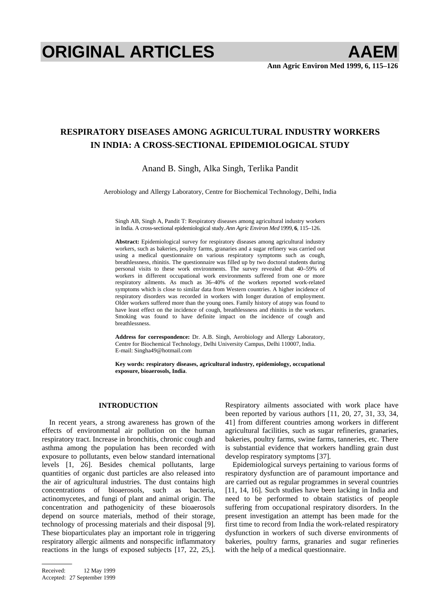# **ORIGINAL ARTICLES AAEM**

# **RESPIRATORY DISEASES AMONG AGRICULTURAL INDUSTRY WORKERS IN INDIA: A CROSS-SECTIONAL EPIDEMIOLOGICAL STUDY**

# Anand B. Singh, Alka Singh, Terlika Pandit

Aerobiology and Allergy Laboratory, Centre for Biochemical Technology, Delhi, India

Singh AB, Singh A, Pandit T: Respiratory diseases among agricultural industry workers in India. A cross-sectional epidemiological study. *Ann Agric Environ Med* 1999, **6**, 115–126.

**Abstract:** Epidemiological survey for respiratory diseases among agricultural industry workers, such as bakeries, poultry farms, granaries and a sugar refinery was carried out using a medical questionnaire on various respiratory symptoms such as cough, breathlessness, rhinitis. The questionnaire was filled up by two doctoral students during personal visits to these work environments. The survey revealed that 40–59% of workers in different occupational work environments suffered from one or more respiratory ailments. As much as 36–40% of the workers reported work-related symptoms which is close to similar data from Western countries. A higher incidence of respiratory disorders was recorded in workers with longer duration of employment. Older workers suffered more than the young ones. Family history of atopy was found to have least effect on the incidence of cough, breathlessness and rhinitis in the workers. Smoking was found to have definite impact on the incidence of cough and breathlessness.

**Address for correspondence:** Dr. A.B. Singh, Aerobiology and Allergy Laboratory, Centre for Biochemical Technology, Delhi University Campus, Delhi 110007, India. E-mail: Singha49@hotmail.com

**Key words: respiratory diseases, agricultural industry, epidemiology, occupational exposure, bioaerosols, India**.

# **INTRODUCTION**

In recent years, a strong awareness has grown of the effects of environmental air pollution on the human respiratory tract. Increase in bronchitis, chronic cough and asthma among the population has been recorded with exposure to pollutants, even below standard international levels [1, 26]. Besides chemical pollutants, large quantities of organic dust particles are also released into the air of agricultural industries. The dust contains high concentrations of bioaerosols, such as bacteria, actinomycetes, and fungi of plant and animal origin. The concentration and pathogenicity of these bioaerosols depend on source materials, method of their storage, technology of processing materials and their disposal [9]. These bioparticulates play an important role in triggering respiratory allergic ailments and nonspecific inflammatory reactions in the lungs of exposed subjects [17, 22, 25,]. Respiratory ailments associated with work place have been reported by various authors [11, 20, 27, 31, 33, 34, 41] from different countries among workers in different agricultural facilities, such as sugar refineries, granaries, bakeries, poultry farms, swine farms, tanneries, etc. There is substantial evidence that workers handling grain dust develop respiratory symptoms [37].

Epidemiological surveys pertaining to various forms of respiratory dysfunction are of paramount importance and are carried out as regular programmes in several countries [11, 14, 16]. Such studies have been lacking in India and need to be performed to obtain statistics of people suffering from occupational respiratory disorders. In the present investigation an attempt has been made for the first time to record from India the work-related respiratory dysfunction in workers of such diverse environments of bakeries, poultry farms, granaries and sugar refineries with the help of a medical questionnaire.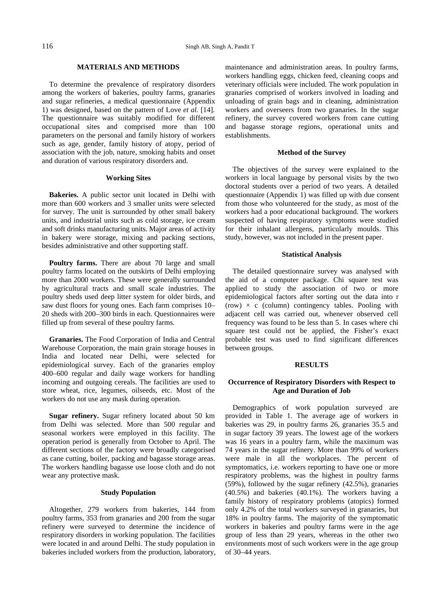# **MATERIALS AND METHODS**

To determine the prevalence of respiratory disorders among the workers of bakeries, poultry farms, granaries and sugar refineries, a medical questionnaire (Appendix 1) was designed, based on the pattern of Love *et al.* [14]. The questionnaire was suitably modified for different occupational sites and comprised more than 100 parameters on the personal and family history of workers such as age, gender, family history of atopy, period of association with the job, nature, smoking habits and onset and duration of various respiratory disorders and.

#### **Working Sites**

**Bakeries.** A public sector unit located in Delhi with more than 600 workers and 3 smaller units were selected for survey. The unit is surrounded by other small bakery units, and industrial units such as cold storage, ice cream and soft drinks manufacturing units. Major areas of activity in bakery were storage, mixing and packing sections, besides administrative and other supporting staff.

**Poultry farms.** There are about 70 large and small poultry farms located on the outskirts of Delhi employing more than 2000 workers. These were generally surrounded by agricultural tracts and small scale industries. The poultry sheds used deep litter system for older birds, and saw dust floors for young ones. Each farm comprises 10– 20 sheds with 200–300 birds in each. Questionnaires were filled up from several of these poultry farms.

**Granaries.** The Food Corporation of India and Central Warehouse Corporation, the main grain storage houses in India and located near Delhi, were selected for epidemiological survey. Each of the granaries employ 400–600 regular and daily wage workers for handling incoming and outgoing cereals. The facilities are used to store wheat, rice, legumes, oilseeds, etc. Most of the workers do not use any mask during operation.

**Sugar refinery.** Sugar refinery located about 50 km from Delhi was selected. More than 500 regular and seasonal workers were employed in this facility. The operation period is generally from October to April. The different sections of the factory were broadly categorised as cane cutting, boiler, packing and bagasse storage areas. The workers handling bagasse use loose cloth and do not wear any protective mask.

# **Study Population**

Altogether, 279 workers from bakeries, 144 from poultry farms, 353 from granaries and 200 from the sugar refinery were surveyed to determine the incidence of respiratory disorders in working population. The facilities were located in and around Delhi. The study population in bakeries included workers from the production, laboratory, maintenance and administration areas. In poultry farms, workers handling eggs, chicken feed, cleaning coops and veterinary officials were included. The work population in granaries comprised of workers involved in loading and unloading of grain bags and in cleaning, administration workers and overseers from two granaries. In the sugar refinery, the survey covered workers from cane cutting and bagasse storage regions, operational units and establishments.

# **Method of the Survey**

The objectives of the survey were explained to the workers in local language by personal visits by the two doctoral students over a period of two years. A detailed questionnaire (Appendix 1) was filled up with due consent from those who volunteered for the study, as most of the workers had a poor educational background. The workers suspected of having respiratory symptoms were studied for their inhalant allergens, particularly moulds. This study, however, was not included in the present paper.

#### **Statistical Analysis**

The detailed questionnaire survey was analysed with the aid of a computer package. Chi square test was applied to study the association of two or more epidemiological factors after sorting out the data into r (row)  $\times$  c (column) contingency tables. Pooling with adjacent cell was carried out, whenever observed cell frequency was found to be less than 5. In cases where chi square test could not be applied, the Fisher's exact probable test was used to find significant differences between groups.

#### **RESULTS**

# **Occurrence of Respiratory Disorders with Respect to Age and Duration of Job**

Demographics of work population surveyed are provided in Table 1. The average age of workers in bakeries was 29, in poultry farms 26, granaries 35.5 and in sugar factory 39 years. The lowest age of the workers was 16 years in a poultry farm, while the maximum was 74 years in the sugar refinery. More than 99% of workers were male in all the workplaces. The percent of symptomatics, i.e. workers reporting to have one or more respiratory problems, was the highest in poultry farms (59%), followed by the sugar refinery (42.5%), granaries (40.5%) and bakeries (40.1%). The workers having a family history of respiratory problems (atopics) formed only 4.2% of the total workers surveyed in granaries, but 18% in poultry farms. The majority of the symptomatic workers in bakeries and poultry farms were in the age group of less than 29 years, whereas in the other two environments most of such workers were in the age group of 30–44 years.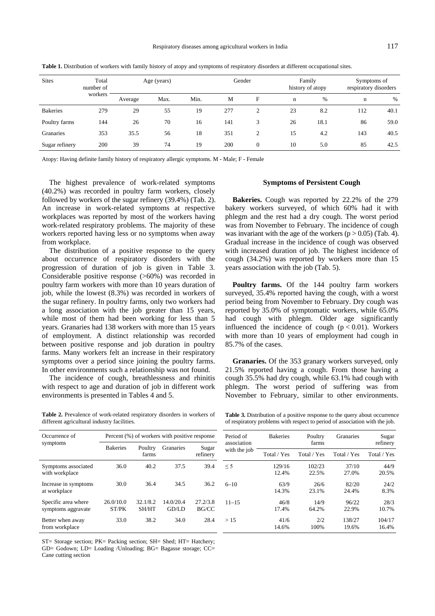#### Respiratory diseases among agricultural workers in India 117

| <b>Sites</b>    | Total<br>number of |         | Age (years) |      |     | Gender         |    | Family<br>history of atopy |             | Symptoms of<br>respiratory disorders |
|-----------------|--------------------|---------|-------------|------|-----|----------------|----|----------------------------|-------------|--------------------------------------|
|                 | workers            | Average | Max.        | Min. | M   | F              | n  | $\%$                       | $\mathbf n$ | $\%$                                 |
| <b>Bakeries</b> | 279                | 29      | 55          | 19   | 277 | $\overline{c}$ | 23 | 8.2                        | 112         | 40.1                                 |
| Poultry farms   | 144                | 26      | 70          | 16   | 141 | 3              | 26 | 18.1                       | 86          | 59.0                                 |
| Granaries       | 353                | 35.5    | 56          | 18   | 351 | 2              | 15 | 4.2                        | 143         | 40.5                                 |
| Sugar refinery  | 200                | 39      | 74          | 19   | 200 | $\theta$       | 10 | 5.0                        | 85          | 42.5                                 |

**Table 1.** Distribution of workers with family history of atopy and symptoms of respiratory disorders at different occupational sites.

Atopy: Having definite family history of respiratory allergic symptoms. M - Male; F - Female

The highest prevalence of work-related symptoms (40.2%) was recorded in poultry farm workers, closely followed by workers of the sugar refinery (39.4%) (Tab. 2). An increase in work-related symptoms at respective workplaces was reported by most of the workers having work-related respiratory problems. The majority of these workers reported having less or no symptoms when away from workplace.

The distribution of a positive response to the query about occurrence of respiratory disorders with the progression of duration of job is given in Table 3. Considerable positive response (>60%) was recorded in poultry farm workers with more than 10 years duration of job, while the lowest (8.3%) was recorded in workers of the sugar refinery. In poultry farms, only two workers had a long association with the job greater than 15 years, while most of them had been working for less than 5 years. Granaries had 138 workers with more than 15 years of employment. A distinct relationship was recorded between positive response and job duration in poultry farms. Many workers felt an increase in their respiratory symptoms over a period since joining the poultry farms. In other environments such a relationship was not found.

The incidence of cough, breathlessness and rhinitis with respect to age and duration of job in different work environments is presented in Tables 4 and 5.

**Table 2.** Prevalence of work-related respiratory disorders in workers of different agricultural industry facilities.

## **Symptoms of Persistent Cough**

**Bakeries.** Cough was reported by 22.2% of the 279 bakery workers surveyed, of which 60% had it with phlegm and the rest had a dry cough. The worst period was from November to February. The incidence of cough was invariant with the age of the workers  $(p > 0.05)$  (Tab. 4). Gradual increase in the incidence of cough was observed with increased duration of job. The highest incidence of cough (34.2%) was reported by workers more than 15 years association with the job (Tab. 5).

**Poultry farms.** Of the 144 poultry farm workers surveyed, 35.4% reported having the cough, with a worst period being from November to February. Dry cough was reported by 35.0% of symptomatic workers, while 65.0% had cough with phle influenced the incidence with more than 10 years 85.7% of the cases.

**Granaries.** Of the 353  $21.5%$  reported having cough 35.5% had dry cough phlegm. The worst period of suffering was from November to February, similar to other environments.

**Table 3.** Distribution of a positive response to the query about occurrence of respiratory problems with respect to period of association with the job.

| Occurrence of                             |                    |                   | Percent (%) of workers with positive response |                   | Period of                   | Bakerie        |
|-------------------------------------------|--------------------|-------------------|-----------------------------------------------|-------------------|-----------------------------|----------------|
| symptoms                                  | <b>Bakeries</b>    | Poultry<br>farms  | Granaries                                     | Sugar<br>refinery | association<br>with the job | Total / Ye     |
| Symptoms associated<br>with workplace     | 36.0               | 40.2              | 37.5                                          | 39.4              | $\leq$ 5                    | 129/1<br>12.49 |
| Increase in symptoms<br>at workplace      | 30.0               | 36.4              | 34.5                                          | 36.2              | $6 - 10$                    | 63/<br>14.39   |
| Specific area where<br>symptoms aggravate | 26.0/10.0<br>ST/PK | 32.1/8.2<br>SH/HT | 14.0/20.4<br>GD/LD                            | 27.2/3.8<br>BG/CC | $11 - 15$                   | 46/<br>17.49   |
| Better when away<br>from workplace        | 33.0               | 38.2              | 34.0                                          | 28.4              | >15                         | 41/<br>14.69   |

ST= Storage section; PK= Packing section; SH= Shed; HT= Hatchery; GD= Godown; LD= Loading /Unloading; BG= Bagasse storage; CC= Cane cutting section

| egm. Older age significantly      |  |
|-----------------------------------|--|
| e of cough $(p < 0.01)$ . Workers |  |
| rs of employment had cough in     |  |
|                                   |  |
|                                   |  |
| 3 granary workers surveyed, only  |  |
| a cough. From those having a      |  |
| ugh, while 63.1% had cough with   |  |

| Period of<br>association | <b>Bakeries</b> | Poultry<br>farms | Granaries   | Sugar<br>refinery |
|--------------------------|-----------------|------------------|-------------|-------------------|
| with the job             | Total / Yes     | Total / Yes      | Total / Yes | Total / Yes       |
| $\leq$ 5                 | 129/16          | 102/23           | 37/10       | 44/9              |
|                          | 12.4%           | 22.5%            | 27.0%       | 20.5%             |
| $6 - 10$                 | 63/9            | 26/6             | 82/20       | 24/2              |
|                          | 14.3%           | 23.1%            | 24.4%       | 8.3%              |
| $11 - 15$                | 46/8            | 14/9             | 96/22       | 28/3              |
|                          | 17.4%           | 64.2%            | 22.9%       | 10.7%             |
| >15                      | 41/6            | 2/2              | 138/27      | 104/17            |
|                          | 14.6%           | 100%             | 19.6%       | 16.4%             |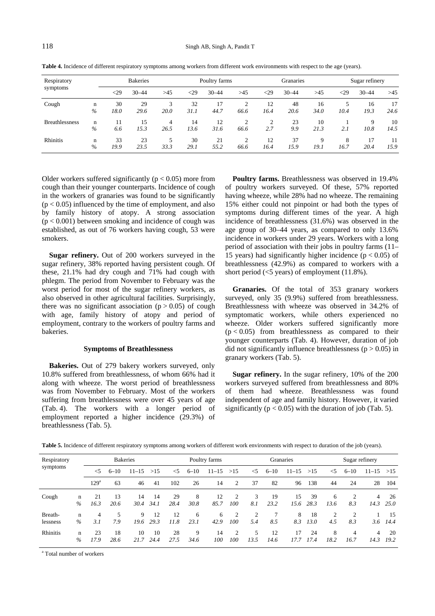| Respiratory           |           |            | <b>Bakeries</b> |           |            | Poultry farms |                       |            | Granaries  |            |           | Sugar refinery |            |  |
|-----------------------|-----------|------------|-----------------|-----------|------------|---------------|-----------------------|------------|------------|------------|-----------|----------------|------------|--|
| symptoms              |           | $<$ 29     | $30 - 44$       | >45       | $<$ 29     | $30 - 44$     | >45                   | $\leq$ 29  | $30 - 44$  | >45        | $<$ 29    | $30 - 44$      | >45        |  |
| Cough                 | n<br>$\%$ | 30<br>18.0 | 29<br>29.6      | 20.0      | 32<br>31.1 | 17<br>44.7    | $\mathcal{L}$<br>66.6 | 12<br>16.4 | 48<br>20.6 | 16<br>34.0 | 5<br>10.4 | 16<br>19.3     | 17<br>24.6 |  |
| <b>Breathlessness</b> | n<br>$\%$ | 11<br>6.6  | 15<br>15.3      | 4<br>26.5 | 14<br>13.6 | 12<br>31.6    | 66.6                  | 2<br>2.7   | 23<br>9.9  | 10<br>21.3 | 2.1       | 9<br>10.8      | 10<br>14.5 |  |
| <b>Rhinitis</b>       | n<br>$\%$ | 33<br>19.9 | 23<br>23.5      | 5<br>33.3 | 30<br>29.1 | 21<br>55.2    | 66.6                  | 12<br>16.4 | 37<br>15.9 | Q<br>19.1  | 8<br>16.7 | 20.4           | 11<br>15.9 |  |

**Table 4.** Incidence of different respiratory symptoms among workers from different work environments with respect to the age (years).

Older workers suffered significantly ( $p < 0.05$ ) more from cough than their younger counterparts. Incidence of cough in the workers of granaries was found to be significantly  $(p < 0.05)$  influenced by the time of employment, and also by family history of atopy. A strong association  $(p < 0.001)$  between smoking and incidence of cough was established, as out of 76 workers having cough, 53 were smokers.

**Sugar refinery.** Out of 200 workers surveyed in the sugar refinery, 38% reported having persistent cough. Of these, 21.1% had dry cough and 71% had cough with phlegm. The period from November to February was the worst period for most of the sugar refinery workers, as also observed in other agricultural facilities. Surprisingly, there was no significant association ( $p > 0.05$ ) of cough with age, family history of atopy and period of employment, contrary to the workers of poultry farms and bakeries.

# **Symptoms of Breathlessness**

**Bakeries.** Out of 279 bakery workers surveyed, only 10.8% suffered from breathlessness, of whom 66% had it along with wheeze. The worst period of breathlessness was from November to February. Most of the workers suffering from breathlessness were over 45 years of age (Tab. 4). The workers with a longer period of employment reported a higher incidence (29.3%) of breathlessness (Tab. 5).

**Poultry farms.** Breathlessness was observed in 19.4% of poultry workers surveyed. Of these, 57% reported having wheeze, while 28% had no wheeze. The remaining 15% either could not pinpoint or had both the types of symptoms during different times of the year. A high incidence of breathlessness (31.6%) was observed in the age group of 30–44 years, as compared to only 13.6% incidence in workers under 29 years. Workers with a long period of association with their jobs in poultry farms (11– 15 years) had significantly higher incidence ( $p < 0.05$ ) of breathlessness (42.9%) as compared to workers with a short period  $\left($  <5 years) of employment (11.8%).

**Granaries.** Of the total of 353 granary workers surveyed, only 35 (9.9%) suffered from breathlessness. Breathlessness with wheeze was observed in 34.2% of symptomatic workers, while others experienced no wheeze. Older workers suffered significantly more  $(p < 0.05)$  from breathlessness as compared to their younger counterparts (Tab. 4). However, duration of job did not significantly influence breathlessness ( $p > 0.05$ ) in granary workers (Tab. 5).

**Sugar refinery.** In the sugar refinery, 10% of the 200 workers surveyed suffered from breathlessness and 80% of them had wheeze. Breathlessness was found independent of age and family history. However, it varied significantly ( $p < 0.05$ ) with the duration of job (Tab. 5).

| Table 5. Incidence of different respiratory symptoms among workers of different work environments with respect to duration of the job (years). |  |  |  |  |
|------------------------------------------------------------------------------------------------------------------------------------------------|--|--|--|--|
|------------------------------------------------------------------------------------------------------------------------------------------------|--|--|--|--|

| Respiratory |      | <b>Bakeries</b>  |          |           |      |       | Poultry farms |           |     |          | Granaries |           |      |                | Sugar refinery |                |      |
|-------------|------|------------------|----------|-----------|------|-------|---------------|-----------|-----|----------|-----------|-----------|------|----------------|----------------|----------------|------|
| symptoms    |      | $<$ 5            | $6 - 10$ | $11 - 15$ | >15  | $<$ 5 | $6 - 10$      | $11 - 15$ | >15 | $\leq$ 5 | $6 - 10$  | $11 - 15$ | >15  | $<$ 5          | $6 - 10$       | $11 - 15$      | >15  |
|             |      | 129 <sup>a</sup> | 63       | 46        | 41   | 102   | 26            | 14        | 2   | 37       | 82        | 96        | 138  | 44             | 24             | 28             | 104  |
| Cough       | n    | 21               | 13       | 14        | 14   | 29    | 8             | 12        | 2   | 3        | 19        | 15        | 39   | 6              | 2              | $\overline{4}$ | 26   |
|             | $\%$ | 16.3             | 20.6     | 30.4      | 34.1 | 28.4  | 30.8          | 85.7      | 100 | 8.1      | 23.2      | 15.6      | 28.3 | 13.6           | 8.3            | 14.3           | 25.0 |
| Breath-     | n    | 4                |          | 9         | 12   | 12    | -6            | 6         | 2   | 2        |           | 8         | 18   | $\overline{c}$ | 2              |                | 15   |
| lessness    | $\%$ | 3.1              | 7.9      | 19.6      | 29.3 | 11.8  | 23.1          | 42.9      | 100 | 5.4      | 8.5       | 8.3       | 13.0 | 4.5            | 8.3            | 3.6            | 14.4 |
| Rhinitis    | n    | 23               | 18       | 10        | 10   | 28    | 9             | 14        | 2   | 5        | 12        | 17        | 24   | 8              | 4              | $\overline{4}$ | 20   |
|             | $\%$ | 17.9             | 28.6     | 21.7      | 24.4 | 27.5  | 34.6          | 100       | 100 | 13.5     | 14.6      | 17.7      | 17.4 | 18.2           | 16.7           | 14.3           | 19.2 |

a Total number of workers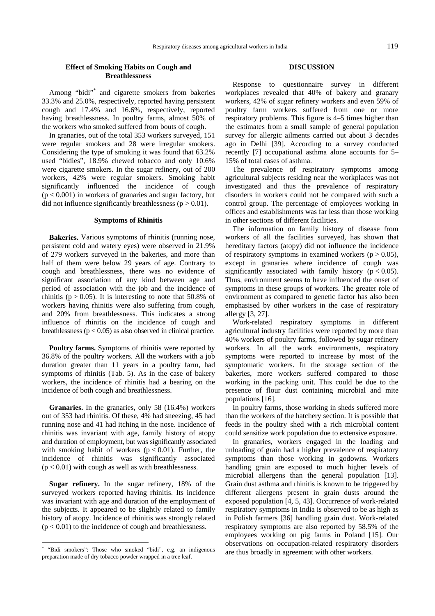# **Effect of Smoking Habits on Cough and Breathlessness**

Among "bidi"\* and cigarette smokers from bakeries 33.3% and 25.0%, respectively, reported having persistent cough and 17.4% and 16.6%, respectively, reported having breathlessness. In poultry farms, almost 50% of the workers who smoked suffered from bouts of cough.

In granaries, out of the total 353 workers surveyed, 151 were regular smokers and 28 were irregular smokers. Considering the type of smoking it was found that 63.2% used "bidies", 18.9% chewed tobacco and only 10.6% were cigarette smokers. In the sugar refinery, out of 200 workers, 42% were regular smokers. Smoking habit significantly influenced the incidence of cough  $(p < 0.001)$  in workers of granaries and sugar factory, but did not influence significantly breathlessness ( $p > 0.01$ ).

# **Symptoms of Rhinitis**

**Bakeries.** Various symptoms of rhinitis (running nose, persistent cold and watery eyes) were observed in 21.9% of 279 workers surveyed in the bakeries, and more than half of them were below 29 years of age. Contrary to cough and breathlessness, there was no evidence of significant association of any kind between age and period of association with the job and the incidence of rhinitis ( $p > 0.05$ ). It is interesting to note that 50.8% of workers having rhinitis were also suffering from cough, and 20% from breathlessness. This indicates a strong influence of rhinitis on the incidence of cough and breathlessness ( $p < 0.05$ ) as also observed in clinical practice.

**Poultry farms.** Symptoms of rhinitis were reported by 36.8% of the poultry workers. All the workers with a job duration greater than 11 years in a poultry farm, had symptoms of rhinitis (Tab. 5). As in the case of bakery workers, the incidence of rhinitis had a bearing on the incidence of both cough and breathlessness.

**Granaries.** In the granaries, only 58 (16.4%) workers out of 353 had rhinitis. Of these, 4% had sneezing, 45 had running nose and 41 had itching in the nose. Incidence of rhinitis was invariant with age, family history of atopy and duration of employment, but was significantly associated with smoking habit of workers  $(p < 0.01)$ . Further, the incidence of rhinitis was significantly associated  $(p < 0.01)$  with cough as well as with breathlessness.

**Sugar refinery.** In the sugar refinery, 18% of the surveyed workers reported having rhinitis. Its incidence was invariant with age and duration of the employment of the subjects. It appeared to be slightly related to family history of atopy. Incidence of rhinitis was strongly related  $(p < 0.01)$  to the incidence of cough and breathlessness.

# **DISCUSSION**

Response to questionnaire survey in different workplaces revealed that 40% of bakery and granary workers, 42% of sugar refinery workers and even 59% of poultry farm workers suffered from one or more respiratory problems. This figure is 4–5 times higher than the estimates from a small sample of general population survey for allergic ailments carried out about 3 decades ago in Delhi [39]. According to a survey conducted recently [7] occupational asthma alone accounts for 5– 15% of total cases of asthma.

The prevalence of respiratory symptoms among agricultural subjects residing near the workplaces was not investigated and thus the prevalence of respiratory disorders in workers could not be compared with such a control group. The percentage of employees working in offices and establishments was far less than those working in other sections of different facilities.

The information on family history of disease from workers of all the facilities surveyed, has shown that hereditary factors (atopy) did not influence the incidence of respiratory symptoms in examined workers ( $p > 0.05$ ), except in granaries where incidence of cough was significantly associated with family history ( $p < 0.05$ ). Thus, environment seems to have influenced the onset of symptoms in these groups of workers. The greater role of environment as compared to genetic factor has also been emphasised by other workers in the case of respiratory allergy [3, 27].

Work-related respiratory symptoms in different agricultural industry facilities were reported by more than 40% workers of poultry farms, followed by sugar refinery workers. In all the work environments, respiratory symptoms were reported to increase by most of the symptomatic workers. In the storage section of the bakeries, more workers suffered compared to those working in the packing unit. This could be due to the presence of flour dust containing microbial and mite populations [16].

In poultry farms, those working in sheds suffered more than the workers of the hatchery section. It is possible that feeds in the poultry shed with a rich microbial content could sensitize work population due to extensive exposure.

In granaries, workers engaged in the loading and unloading of grain had a higher prevalence of respiratory symptoms than those working in godowns. Workers handling grain are exposed to much higher levels of microbial allergens than the general population [13]. Grain dust asthma and rhinitis is known to be triggered by different allergens present in grain dusts around the exposed population [4, 5, 43]. Occurrence of work-related respiratory symptoms in India is observed to be as high as in Polish farmers [36] handling grain dust. Work-related respiratory symptoms are also reported by 58.5% of the employees working on pig farms in Poland [15]. Our observations on occupation-related respiratory disorders are thus broadly in agreement with other workers.

 \* "Bidi smokers": Those who smoked "bidi", e.g. an indigenous preparation made of dry tobacco powder wrapped in a tree leaf.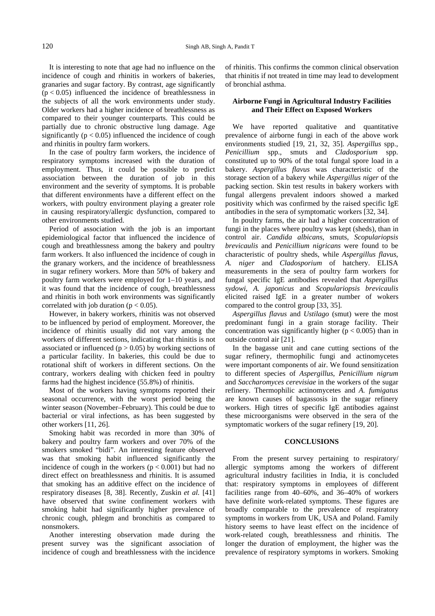It is interesting to note that age had no influence on the incidence of cough and rhinitis in workers of bakeries, granaries and sugar factory. By contrast, age significantly  $(p < 0.05)$  influenced the incidence of breathlessness in the subjects of all the work environments under study. Older workers had a higher incidence of breathlessness as compared to their younger counterparts. This could be partially due to chronic obstructive lung damage. Age significantly ( $p < 0.05$ ) influenced the incidence of cough and rhinitis in poultry farm workers.

In the case of poultry farm workers, the incidence of respiratory symptoms increased with the duration of employment. Thus, it could be possible to predict association between the duration of job in this environment and the severity of symptoms. It is probable that different environments have a different effect on the workers, with poultry environment playing a greater role in causing respiratory/allergic dysfunction, compared to other environments studied.

Period of association with the job is an important epidemiological factor that influenced the incidence of cough and breathlessness among the bakery and poultry farm workers. It also influenced the incidence of cough in the granary workers, and the incidence of breathlessness in sugar refinery workers. More than 50% of bakery and poultry farm workers were employed for 1–10 years, and it was found that the incidence of cough, breathlessness and rhinitis in both work environments was significantly correlated with job duration ( $p < 0.05$ ).

However, in bakery workers, rhinitis was not observed to be influenced by period of employment. Moreover, the incidence of rhinitis usually did not vary among the workers of different sections, indicating that rhinitis is not associated or influenced ( $p > 0.05$ ) by working sections of a particular facility. In bakeries, this could be due to rotational shift of workers in different sections. On the contrary, workers dealing with chicken feed in poultry farms had the highest incidence (55.8%) of rhinitis.

Most of the workers having symptoms reported their seasonal occurrence, with the worst period being the winter season (November–February). This could be due to bacterial or viral infections, as has been suggested by other workers [11, 26].

Smoking habit was recorded in more than 30% of bakery and poultry farm workers and over 70% of the smokers smoked "bidi". An interesting feature observed was that smoking habit influenced significantly the incidence of cough in the workers  $(p < 0.001)$  but had no direct effect on breathlessness and rhinitis. It is assumed that smoking has an additive effect on the incidence of respiratory diseases [8, 38]. Recently, Zuskin *et al.* [41] have observed that swine confinement workers with smoking habit had significantly higher prevalence of chronic cough, phlegm and bronchitis as compared to nonsmokers.

Another interesting observation made during the present survey was the significant association of incidence of cough and breathlessness with the incidence of rhinitis. This confirms the common clinical observation that rhinitis if not treated in time may lead to development of bronchial asthma.

# **Airborne Fungi in Agricultural Industry Facilities and Their Effect on Exposed Workers**

We have reported qualitative and quantitative prevalence of airborne fungi in each of the above work environments studied [19, 21, 32, 35]. *Aspergillus* spp., *Penicillium* spp., smuts and *Cladosporium* spp. constituted up to 90% of the total fungal spore load in a bakery. *Aspergillus flavus* was characteristic of the storage section of a bakery while *Aspergillus niger* of the packing section. Skin test results in bakery workers with fungal allergens prevalent indoors showed a marked positivity which was confirmed by the raised specific IgE antibodies in the sera of symptomatic workers [32, 34].

In poultry farms, the air had a higher concentration of fungi in the places where poultry was kept (sheds), than in control air. *Candida albicans*, smuts, *Scopulariopsis brevicaulis* and *Penicillium nigricans* were found to be characteristic of poultry sheds, while *Aspergillus flavus*, *A. niger* and *Cladosporium* of hatchery. ELISA measurements in the sera of poultry farm workers for fungal specific IgE antibodies revealed that *Aspergillus sydowi*, *A. japonicus* and *Scopulariopsis brevicaulis*  elicited raised IgE in a greater number of wokers compared to the control group [33, 35].

*Aspergillus flavus* and *Ustilago* (smut) were the most predominant fungi in a grain storage facility. Their concentration was significantly higher ( $p < 0.005$ ) than in outside control air [21].

In the bagasse unit and cane cutting sections of the sugar refinery, thermophilic fungi and actinomycetes were important components of air. We found sensitization to different species of *Aspergillus*, *Penicillium nigrum* and *Saccharomyces cerevisiae* in the workers of the sugar refinery. Thermophilic actinomycetes and *A. fumigatus* are known causes of bagassosis in the sugar refinery workers. High titres of specific IgE antibodies against these microorganisms were observed in the sera of the symptomatic workers of the sugar refinery [19, 20].

# **CONCLUSIONS**

From the present survey pertaining to respiratory/ allergic symptoms among the workers of different agricultural industry facilities in India, it is concluded that: respiratory symptoms in employees of different facilities range from 40–60%, and 36–40% of workers have definite work-related symptoms. These figures are broadly comparable to the prevalence of respiratory symptoms in workers from UK, USA and Poland. Family history seems to have least effect on the incidence of work-related cough, breathlessness and rhinitis. The longer the duration of employment, the higher was the prevalence of respiratory symptoms in workers. Smoking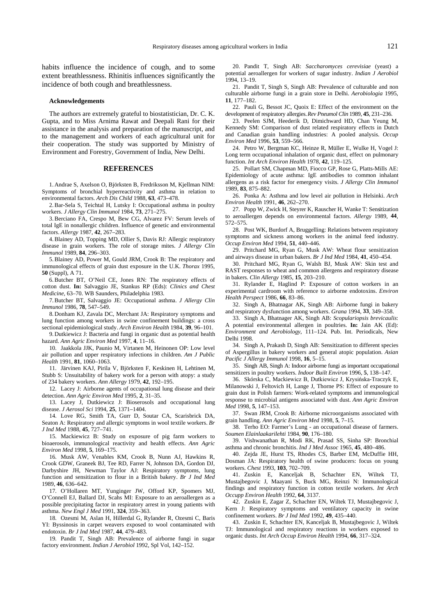habits influence the incidence of cough, and to some extent breathlessness. Rhinitis influences significantly the incidence of both cough and breathlessness.

#### **Acknowledgements**

The authors are extremely grateful to biostatistician, Dr. C. K. Gupta, and to Miss Arnima Rawat and Deepali Rani for their assistance in the analysis and preparation of the manuscript, and to the management and workers of each agricultural unit for their cooperation. The study was supported by Ministry of Environment and Forestry, Government of India, New Delhi.

#### **REFERENCES**

1. Andrae S, Axelson O, Björksten B, Fredriksson M, Kjellman NIM: Symptoms of bronchial hyperreactivity and asthma in relation to environmental factors. *Arch Dis Child* 1988, **63**, 473–478.

2. Bar-Sela S, Teichtal H, Lutsky I: Occupational asthma in poultry workers. *J Allergy Clin Immunol* 1984, **73**, 271–275.

3. Berciano FA, Crespo M, Bew CG, Alvarez FV: Serum levels of total IgE in nonallergic children. Influence of genetic and environmental factors. *Allergy* 1987, **42**, 267–283.

4. Blainey AD, Topping MD, Ollier S, Davis RJ: Allergic respiratory disease in grain workers. The role of storage mites. *J Allergy Clin Immunol* 1989, **84**, 296–303.

5. Blainey AD, Power M, Gould JRM, Crook B: The respiratory and immunological effects of grain dust exposure in the U.K. *Thorax* 1995, **50** (Suppl), A 71.

6. Butcher BT, O'Neil CE, Jones RN: The respiratory effects of cotton dust. **In:** Salvaggio JE, Stankus RP (Eds): *Clinics and Chest Medicine,* 63–70. WB Saunders, Philadelphia 1983.

7. Butcher BT, Salvaggio JE: Occupational asthma. *J Allergy Clin Immunol* 1986, **78**, 547–549.

8. Donham KJ, Zavala DC, Merchant JA: Respiratory symptoms and lung function among workers in swine confinement buildings: a cross

sectional epidemiological study. *Arch Environ Health* 1984, **39**, 96–101. 9. Dutkiewicz J: Bacteria and fungi in organic dust as potential health hazard. *Ann Agric Environ Med* 1997, **4**, 11–16.

10. Jaakkola JJK, Paunio M, Virtanen M, Heinonen OP: Low level air pollution and upper respiratory infections in children. *Am J Public Health* 1991, **81**, 1060–1063.

11. Järvinen KAJ, Pirila V, Björksten F, Keskinen H, Lehtinen M, Stubb S: Unsuitability of bakery work for a person with atopy: a study of 234 bakery workers. *Ann Allergy* 1979, **42**, 192–195.

12. Lacey J: Airborne agents of occupational lung disease and their detection. *Ann Agric Environ Med* 1995, **2**, 31–35.

13. Lacey J, Dutkiewicz J: Bioserosols and occupational lung disease. *J Aerosol Sci* 1994, **25**, 1371–1404.

14. Love RG, Smith TA, Gurr D, Soutar CA, Scarisbrick DA, Seaton A: Respiratory and allergic symptoms in wool textile workers. *Br J Ind Med* 1988, **45**, 727–741.

15. Mackiewicz B: Study on exposure of pig farm workers to bioaerosols, immunological reactivity and health effects. *Ann Agric Environ Med* 1998, **5**, 169–175.

16. Musk AW, Venables KM, Crook B, Nunn AJ, Hawkins R, Crook GDW, Graneek BJ, Tee RD, Farrer N, Johnson DA, Gordon DJ, Darbyshire JH, Newman Taylor AJ: Respiratory symptoms, lung function and sensitization to flour in a British bakery. *Br J Ind Med* 1989, **46**, 636–642.

17. O'Hollaren MT, Yunginger JW, Offord KP, Spomers MJ, O'Connell EJ, Ballard DJ, Scahs MI: Exposure to an aeroallergen as a possible precipitating factor in respiratory arrest in young patients with asthma. *New Engl J Med* 1991, **324**, 359–363.

18. Ozesmi M, Aslan H, Hillerdal G, Rylander R, Ozesmi C, Baris YI: Byssinosis in carpet weavers exposed to wool contaminated with endotoxin. *Br J Ind Med* 1987, **44**, 479–483.

19. Pandit T, Singh AB: Prevalence of airborne fungi in sugar factory environment. *Indian J Aerobiol* 1992, Spl Vol, 142–152.

20. Pandit T, Singh AB: *Saccharomyces cerevisiae* (yeast) a potential aeroallergen for workers of sugar industry. *Indian J Aerobiol* 1994, 13–19.

21. Pandit T, Singh S, Singh AB: Prevalence of culturable and non culturable airborne fungi in a grain store in Delhi. *Aerobiologia* 1995, **11**, 177–182.

22. Pauli G, Bessot JC, Quoix E: Effect of the environment on the development of respiratory allergies. *Rev Pneumol Clin* 1989, **45**, 231–236.

23. Peelen SJM, Heederik D, Dimichward HD, Chan Yeung M, Kennedy SM: Comparison of dust related respiratory effects in Dutch and Canadian grain handling industries: A pooled analysis. *Occup Environ Med* 1996, **53**, 559–566.

24. Petro W, Bergman KC, Heinze R, Müller E, Wulke H, Vogel J: Long term occupational inhalation of organic dust, effect on pulmonary function. *Int Arch Environ Health* 1978, **42**, 119–125.

25. Pollart SM, Chapman MD, Fiocco GP, Rose G, Platts-Mills AE: Epidemiology of acute asthma: IgE antibodies to common inhalant allergens as a risk factor for emergency visits. *J Allergy Clin Immunol* 1989, **83**, 875–882.

26. Ponka A: Asthma and low level air pollution in Helsinki. *Arch Environ Health* 1991, **46**, 262–270.

27. Popp W, Zwick H, Steyrer K, Rauscher H, Wanke T: Sensitization to aeroallergen depends on environmental factors. *Allergy* 1989, **44**, 572–575.

28. Post WK, Burdorf A, Bruggelling: Relations between respiratory symptoms and sickness among workers in the animal feed industry. *Occup Environ Med* 1994, **51**, 440–446.

29. Pritchard MG, Ryan G, Musk AW: Wheat flour sensitization and airways disease in urban bakers. *Br J Ind Med* 1984, **41**, 450–454.

30. Pritchard MG, Ryan G, Walsh BJ, Musk AW: Skin test and RAST responses to wheat and common allergens and respiratory disease in bakers. *Clin Allergy* 1985, **15**, 203–210.

31. Rylander E, Haglind P: Exposure of cotton workers in an experimental cardroom with reference to airborne endotoxins. *Environ Health Perspect* 1986, **66**, 83–86.

32. Singh A, Bhatnagar AK, Singh AB: Airborne fungi in bakery and respiratory dysfunction among workers. *Grana* 1994, **33**, 349–358.

33. Singh A, Bhatnager AK, Singh AB: *Scopulariopsis brevicaulis*: A potential environmental allergen in poultries. **In:** Jain AK (Ed): *Environment and Aerobiology*, 111–124. Pub. Int. Periodicals, New Delhi 1998.

34. Singh A, Prakash D, Singh AB: Sensitization to different species of Aspergillus in bakery workers and general atopic population. *Asian Pacific J Allergy Immunol* 1998, **16**, 5–15.

35. Singh AB, Singh A: Indoor airborne fungi as important occupational sensitizers in poultry workers. *Indoor Built Environ* 1996, **5**, 138–147.

36. Skórska C, Mackiewicz B, Dutkiewicz J, Krysińska-Traczyk E, Milanowski J, Feltovich H, Lange J, Thorne PS: Effect of exposure to grain dust in Polish farmers: Work-related symptoms and immunological response to microbial antigens associated with dust. *Ann Agric Environ Med* 1998, **5**, 147–153.

37. Swan JRM, Crook B: Airborne microorganisms associated with grain handling. *Ann Agric Environ Med* 1998, **5**, 7–15.

38. Terho EO: Farmer's Lung - an occupational disease of farmers. *Soumen Elainlaakarilehti* 1984, **90**, 176–180.

39. Vishwanathan R, Modi RK, Prasad SS, Sinha SP: Bronchial asthma and chronic bronchitis. *Ind J Med Assoc* 1965, **45**, 480–486.

40. Zejda JE, Hurst TS, Rhodes CS, Barber EM, McDuffie HH, Dosman JA: Respiratory health of swine producers: focus on young workers. *Chest* 1993, **103**, 702–709.

41. Zuskin E, Kanceljak B, Schachter EN, Wiltek TJ, Mustajbegovic J, Maayani S, Buck MG, Reinzi N: Immunological findings and respiratory function in cotton textile workers. *Int Arch Occupp Environ Health* 1992, **64**, 3137.

42. Zuskin E, Zagar Z, Schachter EN, Wiltek TJ, Mustajbegovic J, Kern J: Respiratory symptoms and ventilatory capacity in swine confinement workers. *Br J Ind Med* 1992, **49**, 435–440.

43. Zuskin E, Schachter EN, Kanceljak B, Mustajbegovic J, Wiltek TJ: Immunological and respiratory reactions in workers exposed to organic dusts. *Int Arch Occup Environ Health* 1994, **66**, 317–324.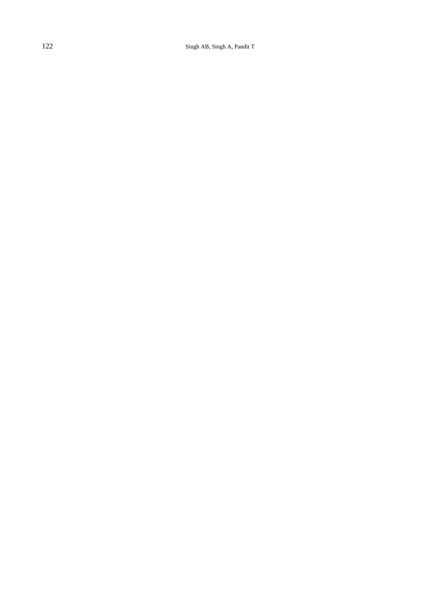122 Singh AB, Singh A, Pandit T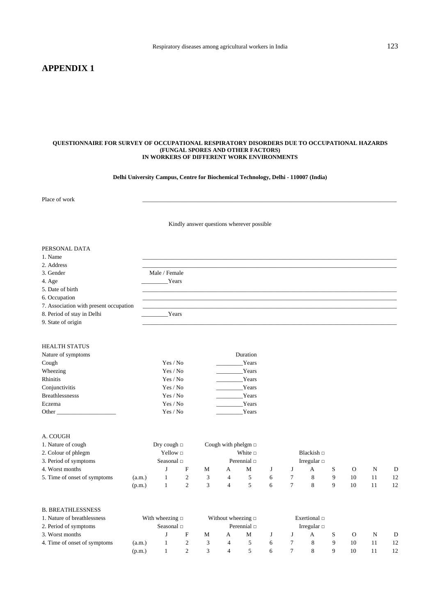# **APPENDIX 1**

#### **QUESTIONNAIRE FOR SURVEY OF OCCUPATIONAL RESPIRATORY DISORDERS DUE TO OCCUPATIONAL HAZARDS (FUNGAL SPORES AND OTHER FACTORS) IN WORKERS OF DIFFERENT WORK ENVIRONMENTS**

# **Delhi University Campus, Centre for Biochemical Technology, Delhi - 110007 (India)**

Place of work \_\_\_\_\_\_\_\_\_\_\_\_\_\_\_\_\_\_\_\_\_\_\_\_\_\_\_\_\_\_\_\_\_\_\_\_\_\_\_\_\_\_\_\_\_\_\_\_\_\_\_\_\_\_\_\_\_\_\_\_\_\_\_\_\_\_\_\_\_\_\_\_\_\_\_\_\_\_\_\_\_\_\_\_\_\_

Kindly answer questions wherever possible

| PERSONAL DATA<br>1. Name<br>2. Address<br>3. Gender<br>4. Age<br>5. Date of birth<br>6. Occupation<br>7. Association with present occupation<br>8. Period of stay in Delhi<br>9. State of origin |        | Male / Female<br>Years<br>Years |                |       |                             |                  |   |                  |                   |              |          |             |    |
|--------------------------------------------------------------------------------------------------------------------------------------------------------------------------------------------------|--------|---------------------------------|----------------|-------|-----------------------------|------------------|---|------------------|-------------------|--------------|----------|-------------|----|
| <b>HEALTH STATUS</b>                                                                                                                                                                             |        |                                 |                |       |                             |                  |   |                  |                   |              |          |             |    |
| Nature of symptoms                                                                                                                                                                               |        |                                 |                |       |                             | Duration         |   |                  |                   |              |          |             |    |
| Cough                                                                                                                                                                                            |        | Yes / No                        |                |       |                             | Years            |   |                  |                   |              |          |             |    |
| Wheezing                                                                                                                                                                                         |        | Yes / No                        |                |       | Years                       |                  |   |                  |                   |              |          |             |    |
| <b>Rhinitis</b>                                                                                                                                                                                  |        | Yes / No                        |                |       |                             | Years            |   |                  |                   |              |          |             |    |
| Conjunctivitis                                                                                                                                                                                   |        | Yes / No                        |                |       |                             | Years            |   |                  |                   |              |          |             |    |
| <b>Breathlessnesss</b>                                                                                                                                                                           |        | Yes / No                        |                |       |                             | Years            |   |                  |                   |              |          |             |    |
| Eczema                                                                                                                                                                                           |        | Yes / No                        |                | Years |                             |                  |   |                  |                   |              |          |             |    |
| Other                                                                                                                                                                                            |        | Yes / No                        |                |       |                             | Years            |   |                  |                   |              |          |             |    |
| A. COUGH                                                                                                                                                                                         |        |                                 |                |       |                             |                  |   |                  |                   |              |          |             |    |
| 1. Nature of cough                                                                                                                                                                               |        | Dry cough □                     |                |       | Cough with phelgm $\square$ |                  |   |                  |                   |              |          |             |    |
| 2. Colour of phlegm                                                                                                                                                                              |        | Yellow $\sqcap$                 |                |       |                             | White $\sqcap$   |   |                  | Blackish $\Box$   |              |          |             |    |
| 3. Period of symptoms                                                                                                                                                                            |        | Seasonal $\square$              |                |       |                             | Perennial $\Box$ |   |                  | Irregular $\Box$  |              |          |             |    |
| 4. Worst months                                                                                                                                                                                  |        | J                               | $\mathbf F$    | М     | A                           | M                | J | J                | $\mathbf{A}$      | S            | $\Omega$ | N           | D  |
| 5. Time of onset of symptoms                                                                                                                                                                     | (a.m.) | $\mathbf{1}$                    | $\mathfrak{2}$ | 3     | $\overline{4}$              | 5                | 6 | $\tau$           | 8                 | 9            | 10       | 11          | 12 |
|                                                                                                                                                                                                  | (p.m.) | $\mathbf{1}$                    | $\overline{2}$ | 3     | $\overline{4}$              | 5                | 6 | $\overline{7}$   | 8                 | $\mathbf{Q}$ | 10       | 11          | 12 |
| <b>B. BREATHLESSNESS</b>                                                                                                                                                                         |        |                                 |                |       |                             |                  |   |                  |                   |              |          |             |    |
| 1. Nature of breathlessness                                                                                                                                                                      |        | With wheezing $\square$         |                |       | Without wheezing $\square$  |                  |   |                  | Exertional $\Box$ |              |          |             |    |
| 2. Period of symptoms                                                                                                                                                                            |        | Seasonal $\square$              |                |       |                             | Perennial $\Box$ |   | Irregular $\Box$ |                   |              |          |             |    |
| 3. Worst months                                                                                                                                                                                  |        | J                               | $\mathbf F$    | M     | A                           | M                | J | $\bf J$          | A                 | S            | 0        | $\mathbf N$ | D  |
| 4. Time of onset of symptoms                                                                                                                                                                     | (a.m.) | $\mathbf{1}$                    | $\mathfrak{2}$ | 3     | $\overline{4}$              | 5                | 6 | $\tau$           | 8                 | 9            | 10       | 11          | 12 |
|                                                                                                                                                                                                  | (p.m.) | 1                               | $\overline{2}$ | 3     | $\overline{A}$              | $\overline{5}$   | 6 | $\overline{7}$   | 8                 | 9            | 10       | 11          | 12 |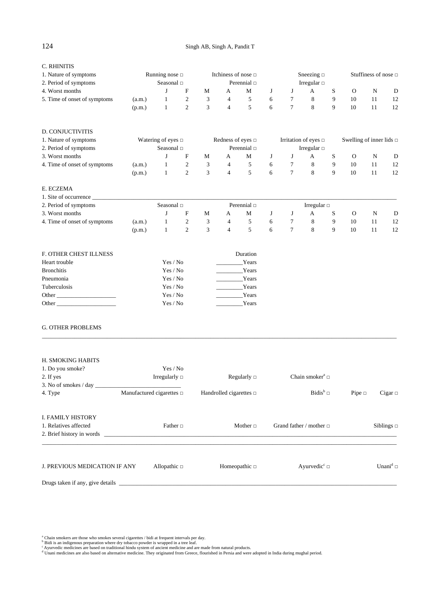# 124 Singh AB, Singh A, Pandit T

| C. RHINITIS                                        |                                |                        |                           |                     |                                 |                     |   |                               |                                  |        |                                  |                   |                 |
|----------------------------------------------------|--------------------------------|------------------------|---------------------------|---------------------|---------------------------------|---------------------|---|-------------------------------|----------------------------------|--------|----------------------------------|-------------------|-----------------|
| 1. Nature of symptoms                              |                                | Running nose $\square$ |                           |                     | Itchiness of nose □             |                     |   | Sneezing $\square$            |                                  |        | Stuffiness of nose □             |                   |                 |
| 2. Period of symptoms                              |                                | Seasonal $\Box$        |                           |                     |                                 | Perennial $\Box$    |   |                               | Irregular $\Box$                 |        |                                  |                   |                 |
| 4. Worst months                                    |                                | J                      | $\boldsymbol{\mathrm{F}}$ | M                   | А                               | M                   | J | J                             | $\boldsymbol{\mathsf{A}}$        | S      | 0                                | ${\bf N}$         | D               |
| 5. Time of onset of symptoms                       | (a.m.)                         | $\mathbf{1}$           | $\mathfrak{2}$            | $\mathfrak{Z}$      | $\overline{4}$                  | $\sqrt{5}$          | 6 | $\boldsymbol{7}$              | $\,8\,$                          | 9      | 10                               | 11                | 12              |
|                                                    | (p.m.)                         | $\mathbf{1}$           | $\overline{c}$            | 3                   | $\overline{4}$                  | 5                   | 6 | $\tau$                        | 8                                | 9      | 10                               | 11                | 12              |
| <b>D. CONJUCTIVITIS</b>                            |                                |                        |                           |                     |                                 |                     |   |                               |                                  |        |                                  |                   |                 |
| 1. Nature of symptoms                              |                                | Watering of eyes □     |                           |                     | Redness of eyes $\Box$          |                     |   |                               | Irritation of eyes $\Box$        |        | Swelling of inner lids $\square$ |                   |                 |
| 2. Period of symptoms                              |                                | Seasonal $\square$     |                           |                     |                                 | Perennial $\Box$    |   |                               | Irregular $\Box$                 |        |                                  |                   |                 |
| 3. Worst months                                    |                                | $\bf J$                | $\boldsymbol{\mathrm{F}}$ | M                   | A                               | M                   | J | J                             | $\mathbf A$                      | S      | $\mathbf{O}$                     | N                 | D               |
| 4. Time of onset of symptoms                       | (a.m.)                         | $\mathbf{1}$           | $\overline{c}$            | $\mathfrak{Z}$      | $\overline{4}$                  | 5                   | 6 | $\boldsymbol{7}$              | $\,8\,$                          | 9      | 10                               | 11                | 12              |
|                                                    | (p.m.)                         | $\mathbf{1}$           | $\overline{c}$            | 3                   | $\overline{4}$                  | 5                   | 6 | $\tau$                        | 8                                | 9      | 10                               | 11                | 12              |
| E. ECZEMA                                          |                                |                        |                           |                     |                                 |                     |   |                               |                                  |        |                                  |                   |                 |
| 1. Site of occurrence                              |                                |                        |                           |                     |                                 |                     |   |                               |                                  |        |                                  |                   |                 |
| 2. Period of symptoms                              |                                | Seasonal $\Box$        |                           |                     |                                 | Perennial $\square$ |   |                               | Irregular $\Box$                 |        |                                  |                   |                 |
| 3. Worst months                                    |                                | J                      | $\boldsymbol{\mathrm{F}}$ | M                   | А                               | $\mathbf M$         | J | J                             | $\mathbf A$                      | S      | $\mathbf O$                      | N                 | D               |
| 4. Time of onset of symptoms                       | (a.m.)                         | $\mathbf{1}$           | $\mathfrak{2}$            | $\mathfrak{Z}$<br>3 | $\overline{4}$                  | 5<br>5              | 6 | $\tau$<br>$\tau$              | $\,8\,$                          | 9<br>9 | 10                               | 11                | 12              |
|                                                    | (p.m.)                         | $\mathbf{1}$           | $\overline{c}$            |                     | $\overline{4}$                  |                     | 6 |                               | 8                                |        | 10                               | 11                | 12              |
| F. OTHER CHEST ILLNESS                             |                                |                        |                           |                     |                                 | Duration            |   |                               |                                  |        |                                  |                   |                 |
| Heart trouble                                      |                                | Yes / No               |                           |                     |                                 | Years               |   |                               |                                  |        |                                  |                   |                 |
| <b>Bronchitis</b>                                  | Yes / No                       |                        |                           |                     | _Years                          |                     |   |                               |                                  |        |                                  |                   |                 |
| Pneumonia                                          |                                | Yes / No               |                           |                     |                                 | _Years              |   |                               |                                  |        |                                  |                   |                 |
| Tuberculosis                                       |                                | Yes / No               |                           |                     |                                 | _Years              |   |                               |                                  |        |                                  |                   |                 |
|                                                    |                                | Yes / No               |                           |                     |                                 | _Years              |   |                               |                                  |        |                                  |                   |                 |
| Other                                              |                                | Yes / No               |                           |                     |                                 | Years               |   |                               |                                  |        |                                  |                   |                 |
| <b>G. OTHER PROBLEMS</b>                           |                                |                        |                           |                     |                                 |                     |   |                               |                                  |        |                                  |                   |                 |
| H. SMOKING HABITS                                  |                                |                        |                           |                     |                                 |                     |   |                               |                                  |        |                                  |                   |                 |
| 1. Do you smoke?                                   |                                | Yes / No               |                           |                     |                                 |                     |   |                               |                                  |        |                                  |                   |                 |
| 2. If yes                                          |                                | Irregularly $\Box$     |                           |                     |                                 | Regularly $\Box$    |   |                               | Chain smoker <sup>a</sup> $\Box$ |        |                                  |                   |                 |
| 3. No of smokes / day_                             |                                |                        |                           |                     |                                 |                     |   |                               |                                  |        |                                  |                   |                 |
| 4. Type                                            | Manufactured cigarettes $\Box$ |                        |                           |                     | Handrolled cigarettes $\square$ |                     |   |                               | Bidis $^b$ $\Box$                |        | Pipe $\Box$                      |                   | Cigar $\Box$    |
|                                                    |                                |                        |                           |                     |                                 |                     |   |                               |                                  |        |                                  |                   |                 |
| <b>I. FAMILY HISTORY</b>                           |                                |                        |                           |                     |                                 |                     |   |                               |                                  |        |                                  |                   |                 |
| 1. Relatives affected                              |                                | Father $\Box$          |                           |                     |                                 | Mother $\square$    |   | Grand father / mother $\Box$  |                                  |        |                                  |                   | Siblings $\Box$ |
|                                                    |                                |                        |                           |                     |                                 |                     |   |                               |                                  |        |                                  |                   |                 |
| J. PREVIOUS MEDICATION IF ANY<br>Allopathic $\Box$ |                                |                        |                           |                     | Homeopathic $\square$           |                     |   | Ayurvedic <sup>c</sup> $\Box$ |                                  |        |                                  | Unani $^d$ $\Box$ |                 |
|                                                    |                                |                        |                           |                     |                                 |                     |   |                               |                                  |        |                                  |                   |                 |

a Chain smokers are those who smokes several cigarettes / bidi at frequent intervals per day.<br><sup>b</sup> Bidi is an indigenous preparation where dry tobacco powder is wrapped in a tree leaf.<br><sup>c</sup> Ayurvedic medicines are based on t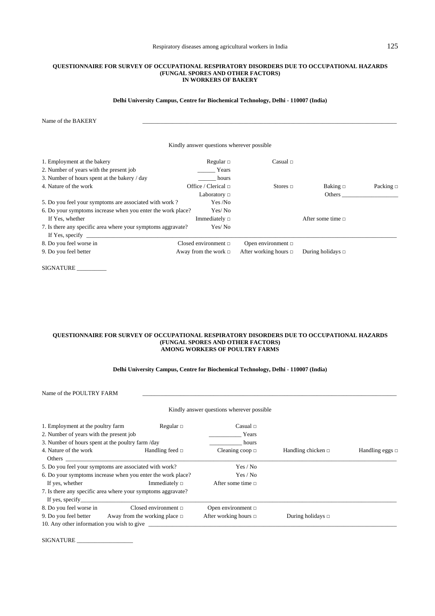#### **QUESTIONNAIRE FOR SURVEY OF OCCUPATIONAL RESPIRATORY DISORDERS DUE TO OCCUPATIONAL HAZARDS (FUNGAL SPORES AND OTHER FACTORS) IN WORKERS OF BAKERY**

#### **Delhi University Campus, Centre for Biochemical Technology, Delhi - 110007 (India)**

Name of the BAKERY

Kindly answer questions wherever possible

| 1. Employment at the bakery                                  | Regular $\Box$            | Casual $\Box$              |                          |                |
|--------------------------------------------------------------|---------------------------|----------------------------|--------------------------|----------------|
| 2. Number of years with the present job                      | Years                     |                            |                          |                |
| 3. Number of hours spent at the bakery / day                 | hours                     |                            |                          |                |
| 4. Nature of the work                                        | Office / Clerical $\Box$  | Stores $\sqcap$            | Baking $\Box$            | Packing $\Box$ |
|                                                              | Laboratory $\Box$         |                            | Others                   |                |
| 5. Do you feel your symptoms are associated with work?       | Yes /No                   |                            |                          |                |
| 6. Do your symptoms increase when you enter the work place?  | Yes/No                    |                            |                          |                |
| If Yes, whether                                              | Immediately $\square$     |                            | After some time $\sqcap$ |                |
| 7. Is there any specific area where your symptoms aggravate? | Yes/No                    |                            |                          |                |
| If Yes, specify                                              |                           |                            |                          |                |
| 8. Do you feel worse in                                      | Closed environment $\Box$ | Open environment $\Box$    |                          |                |
| 9. Do you feel better                                        | Away from the work $\Box$ | After working hours $\Box$ | During holidays $\Box$   |                |

SIGNATURE

#### **QUESTIONNAIRE FOR SURVEY OF OCCUPATIONAL RESPIRATORY DISORDERS DUE TO OCCUPATIONAL HAZARDS (FUNGAL SPORES AND OTHER FACTORS) AMONG WORKERS OF POULTRY FARMS**

#### **Delhi University Campus, Centre for Biochemical Technology, Delhi - 110007 (India)**

Name of the POULTRY FARM Kindly answer questions wherever possible 1. Employment at the poultry farm Regular  $\Box$  Casual  $\Box$ 2. Number of years with the present job \_\_\_\_\_\_\_\_\_\_\_ Years 3. Number of hours spent at the poultry farm /day \_\_\_\_\_\_\_\_\_\_\_ hours 4. Nature of the work Handling feed  $\Box$  Cleaning coop  $\Box$  Handling chicken  $\Box$  Handling eggs  $\Box$ Others \_\_\_\_\_\_\_\_\_\_\_\_\_\_\_\_\_\_\_\_\_\_\_\_\_\_\_\_\_\_\_\_\_\_\_\_\_\_\_\_\_\_\_\_\_\_\_\_\_\_\_\_\_\_\_\_\_\_\_\_\_\_\_\_\_\_\_\_\_\_\_\_\_\_\_\_\_\_\_\_\_\_\_\_\_\_\_\_\_\_\_\_\_\_\_\_\_\_\_\_\_\_\_\_\_\_\_\_\_\_\_\_ 5. Do you feel your symptoms are associated with work? Yes / No 6. Do your symptoms increase when you enter the work place? Yes / No If yes, whether Immediately  $\Box$  After some time  $\Box$ 7. Is there any specific area where your symptoms aggravate? If yes, specify\_\_\_\_\_\_\_\_\_\_\_\_\_\_\_\_\_\_\_\_\_\_\_\_\_\_\_\_\_\_\_\_\_\_\_\_\_\_\_\_\_\_\_\_\_\_\_\_\_\_\_\_\_\_\_\_\_\_\_\_\_\_\_\_\_\_\_\_\_\_\_\_\_\_\_\_\_\_\_\_\_\_\_\_\_\_\_\_\_\_\_\_\_\_\_\_\_\_\_\_\_\_\_\_\_\_\_ 8. Do you feel worse in Closed environment  $\Box$  Open environment  $\Box$ 9. Do you feel better Away from the working place  $\Box$  After working hours  $\Box$  During holidays  $\Box$ 10. Any other information you wish to give

SIGNATURE